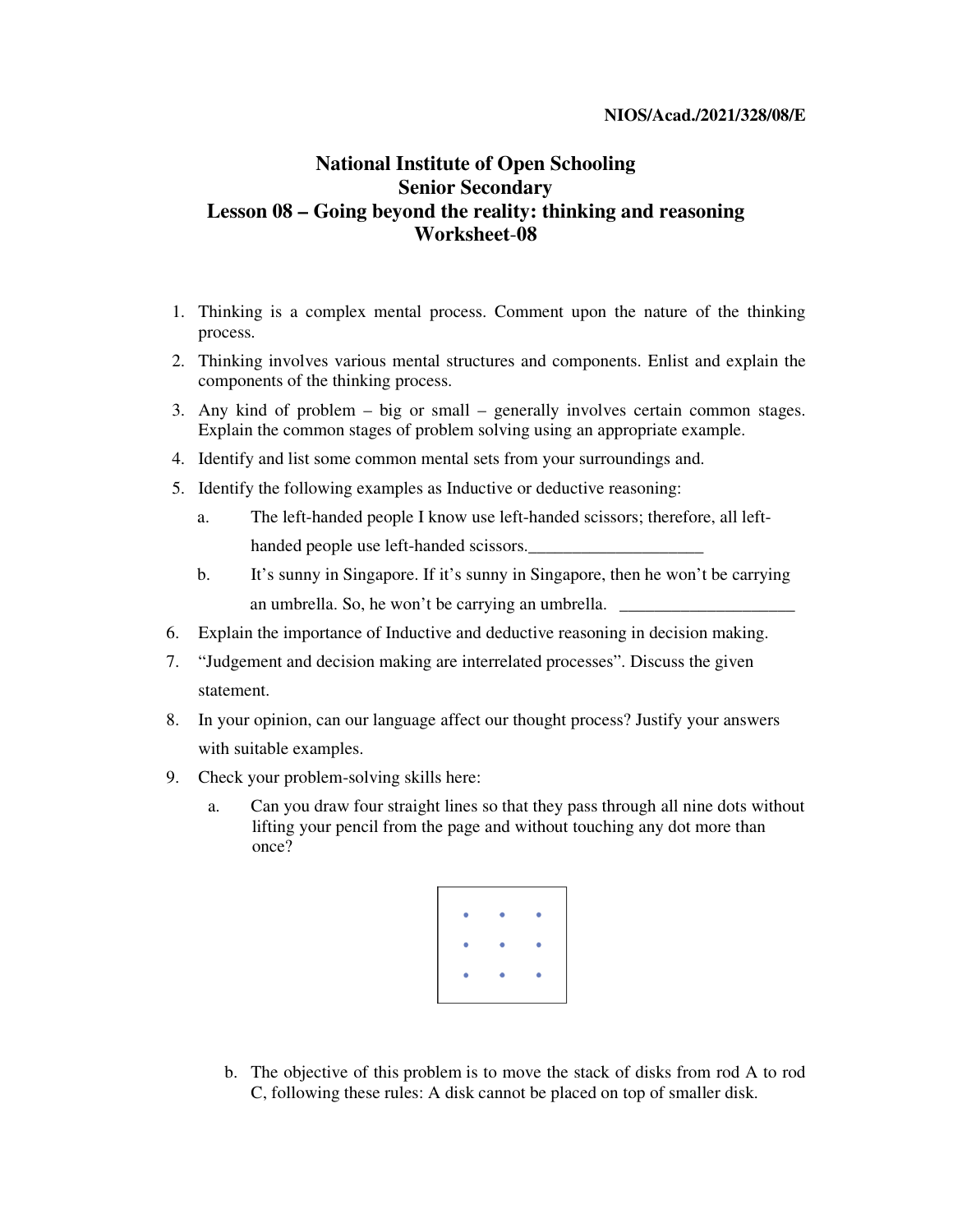## **NIOS/Acad./2021/328/08/E**

## **National Institute of Open Schooling Senior Secondary Lesson 08 – Going beyond the reality: thinking and reasoning Worksheet**-**08**

- 1. Thinking is a complex mental process. Comment upon the nature of the thinking process.
- 2. Thinking involves various mental structures and components. Enlist and explain the components of the thinking process.
- 3. Any kind of problem big or small generally involves certain common stages. Explain the common stages of problem solving using an appropriate example.
- 4. Identify and list some common mental sets from your surroundings and.
- 5. Identify the following examples as Inductive or deductive reasoning:
	- a. The left-handed people I know use left-handed scissors; therefore, all lefthanded people use left-handed scissors.
	- b. It's sunny in Singapore. If it's sunny in Singapore, then he won't be carrying an umbrella. So, he won't be carrying an umbrella.  $\Box$
- 6. Explain the importance of Inductive and deductive reasoning in decision making.
- 7. "Judgement and decision making are interrelated processes". Discuss the given statement.
- 8. In your opinion, can our language affect our thought process? Justify your answers with suitable examples.
- 9. Check your problem-solving skills here:
	- a. Can you draw four straight lines so that they pass through all nine dots without lifting your pencil from the page and without touching any dot more than once?



b. The objective of this problem is to move the stack of disks from rod A to rod C, following these rules: A disk cannot be placed on top of smaller disk.